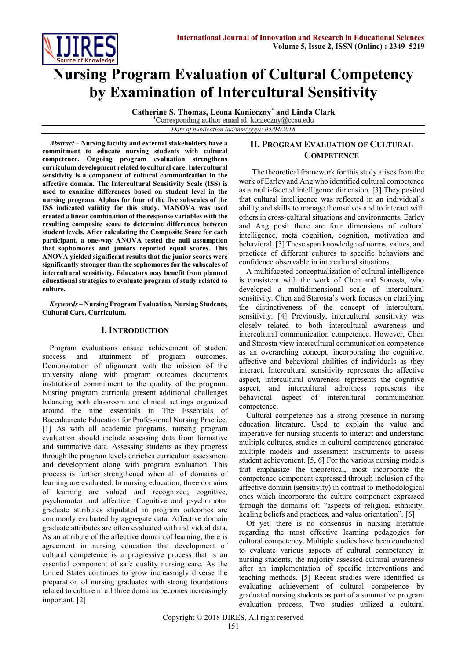

# **Nursing Program Evaluation of Cultural Competency by Examination of Intercultural Sensitivity**

**Catherine S. Thomas, Leona Konieczny\* and Linda Clark** *Date of publication (dd/mm/yyyy): 05/04/2018*

*Abstract* **– Nursing faculty and external stakeholders have a commitment to educate nursing students with cultural competence. Ongoing program evaluation strengthens curriculum development related to cultural care. Intercultural sensitivity is a component of cultural communication in the affective domain. The Intercultural Sensitivity Scale (ISS) is used to examine differences based on student level in the nursing program. Alphas for four of the five subscales of the ISS indicated validity for this study. MANOVA was used created a linear combination of the response variables with the resulting composite score to determine differences between student levels. After calculating the Composite Score for each participant, a one-way ANOVA tested the null assumption that sophomores and juniors reported equal scores. This ANOVA yielded significant results that the junior scores were significantly stronger than the sophomores for the subscales of intercultural sensitivity. Educators may benefit from planned educational strategies to evaluate program of study related to culture.**

*Keywords* **– Nursing Program Evaluation, Nursing Students, Cultural Care, Curriculum.**

## **I. INTRODUCTION**

Program evaluations ensure achievement of student success and attainment of program outcomes. Demonstration of alignment with the mission of the university along with program outcomes documents institutional commitment to the quality of the program. Nusring program curricula present additional challenges balancing both classroom and clinical settings organized around the nine essentials in The Essentials of Baccalaureate Education for Professional Nursing Practice. [1] As with all academic programs, nursing program evaluation should include assessing data from formative and summative data. Assessing students as they progress through the program levels enriches curriculum assessment and development along with program evaluation. This process is further strengthened when all of domains of learning are evaluated. In nursing education, three domains of learning are valued and recognized; cognitive, psychomotor and affective. Cognitive and psychomotor graduate attributes stipulated in program outcomes are commonly evaluated by aggregate data. Affective domain graduate attributes are often evaluated with individual data. As an attribute of the affective domain of learning, there is agreement in nursing education that development of cultural competence is a progressive process that is an essential component of safe quality nursing care. As the United States continues to grow increasingly diverse the preparation of nursing graduates with strong foundations related to culture in all three domains becomes increasingly important. [2]

## **II. PROGRAM EVALUATION OF CULTURAL COMPETENCE**

 The theoretical framework for this study arises from the work of Earley and Ang who identified cultural competence as a multi-faceted intelligence dimension. [3] They posited that cultural intelligence was reflected in an individual's ability and skills to manage themselves and to interact with others in cross-cultural situations and environments. Earley and Ang posit there are four dimensions of cultural intelligence, meta cognition, cognition, motivation and behavioral. [3] These span knowledge of norms, values, and practices of different cultures to specific behaviors and confidence observable in intercultural situations.

A multifaceted conceptualization of cultural intelligence is consistent with the work of Chen and Starosta, who developed a multidimensional scale of intercultural sensitivity. Chen and Starosta's work focuses on clarifying the distinctiveness of the concept of intercultural sensitivity. [4] Previously, intercultural sensitivity was closely related to both intercultural awareness and intercultural communication competence. However, Chen and Starosta view intercultural communication competence as an overarching concept, incorporating the cognitive, affective and behavioral abilities of individuals as they interact. Intercultural sensitivity represents the affective aspect, intercultural awareness represents the cognitive aspect, and intercultural adroitness represents the behavioral aspect of intercultural communication competence.

Cultural competence has a strong presence in nursing education literature. Used to explain the value and imperative for nursing students to interact and understand multiple cultures, studies in cultural competence generated multiple models and assessment instruments to assess student achievement. [5, 6] For the various nursing models that emphasize the theoretical, most incorporate the competence component expressed through inclusion of the affective domain (sensitivity) in contrast to methodological ones which incorporate the culture component expressed through the domains of: "aspects of religion, ethnicity, healing beliefs and practices, and value orientation". [6]

Of yet, there is no consensus in nursing literature regarding the most effective learning pedagogies for cultural competency. Multiple studies have been conducted to evaluate various aspects of cultural competency in nursing students, the majority assessed cultural awareness after an implementation of specific interventions and teaching methods. [5] Recent studies were identified as evaluating achievement of cultural competence by graduated nursing students as part of a summative program evaluation process. Two studies utilized a cultural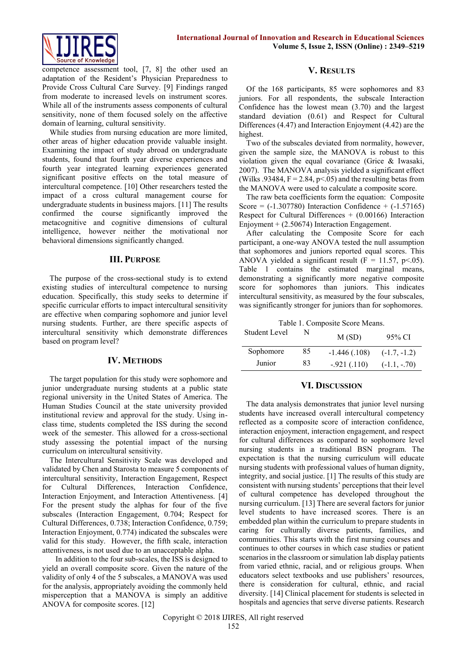

competence assessment tool, [7, 8] the other used an adaptation of the Resident's Physician Preparedness to Provide Cross Cultural Care Survey. [9] Findings ranged from moderate to increased levels on instrument scores. While all of the instruments assess components of cultural sensitivity, none of them focused solely on the affective domain of learning, cultural sensitivity.

While studies from nursing education are more limited, other areas of higher education provide valuable insight. Examining the impact of study abroad on undergraduate students, found that fourth year diverse experiences and fourth year integrated learning experiences generated significant positive effects on the total measure of intercultural competence. [10] Other researchers tested the impact of a cross cultural management course for undergraduate students in business majors. [11] The results confirmed the course significantly improved the metacognitive and cognitive dimensions of cultural intelligence, however neither the motivational nor behavioral dimensions significantly changed.

## **III. PURPOSE**

The purpose of the cross-sectional study is to extend existing studies of intercultural competence to nursing education. Specifically, this study seeks to determine if specific curricular efforts to impact intercultural sensitivity are effective when comparing sophomore and junior level nursing students. Further, are there specific aspects of intercultural sensitivity which demonstrate differences based on program level?

### **IV. METHODS**

The target population for this study were sophomore and junior undergraduate nursing students at a public state regional university in the United States of America. The Human Studies Council at the state university provided institutional review and approval for the study. Using inclass time, students completed the ISS during the second week of the semester. This allowed for a cross-sectional study assessing the potential impact of the nursing curriculum on intercultural sensitivity.

The Intercultural Sensitivity Scale was developed and validated by Chen and Starosta to measure 5 components of intercultural sensitivity, Interaction Engagement, Respect for Cultural Differences, Interaction Confidence, Interaction Enjoyment, and Interaction Attentiveness. [4] For the present study the alphas for four of the five subscales (Interaction Engagement, 0.704; Respect for Cultural Differences, 0.738; Interaction Confidence, 0.759; Interaction Enjoyment, 0.774) indicated the subscales were valid for this study. However, the fifth scale, interaction attentiveness, is not used due to an unacceptable alpha.

 In addition to the four sub-scales, the ISS is designed to yield an overall composite score. Given the nature of the validity of only 4 of the 5 subscales, a MANOVA was used for the analysis, appropriately avoiding the commonly held misperception that a MANOVA is simply an additive ANOVA for composite scores. [12]

## **V. RESULTS**

Of the 168 participants, 85 were sophomores and 83 juniors. For all respondents, the subscale Interaction Confidence has the lowest mean (3.70) and the largest standard deviation (0.61) and Respect for Cultural Differences (4.47) and Interaction Enjoyment (4.42) are the highest.

Two of the subscales deviated from normality, however, given the sample size, the MANOVA is robust to this violation given the equal covariance (Grice & Iwasaki, 2007). The MANOVA analysis yielded a significant effect (Wilks .93484,  $F = 2.84$ ,  $p \le 0.05$ ) and the resulting betas from the MANOVA were used to calculate a composite score.

The raw beta coefficients form the equation: Composite Score =  $(-1.307780)$  Interaction Confidence +  $(-1.57165)$ Respect for Cultural Differences  $+$  (0.00166) Interaction Enjoyment + (2.50674) Interaction Engagement.

After calculating the Composite Score for each participant, a one-way ANOVA tested the null assumption that sophomores and juniors reported equal scores. This ANOVA yielded a significant result ( $F = 11.57$ , p<.05). Table 1 contains the estimated marginal means, demonstrating a significantly more negative composite score for sophomores than juniors. This indicates intercultural sensitivity, as measured by the four subscales, was significantly stronger for juniors than for sophomores.

Table 1. Composite Score Means.

| Student Level | N  | M(SD)          | 95% CI         |
|---------------|----|----------------|----------------|
| Sophomore     | 85 | $-1.446(.108)$ | $(-1.7, -1.2)$ |
| Junior        | 83 | $-921(.110)$   | $(-1.1, -.70)$ |

### **VI. DISCUSSION**

The data analysis demonstrates that junior level nursing students have increased overall intercultural competency reflected as a composite score of interaction confidence, interaction enjoyment, interaction engagement, and respect for cultural differences as compared to sophomore level nursing students in a traditional BSN program. The expectation is that the nursing curriculum will educate nursing students with professional values of human dignity, integrity, and social justice. [1] The results of this study are consistent with nursing students' perceptions that their level of cultural competence has developed throughout the nursing curriculum. [13] There are several factors for junior level students to have increased scores. There is an embedded plan within the curriculum to prepare students in caring for culturally diverse patients, families, and communities. This starts with the first nursing courses and continues to other courses in which case studies or patient scenarios in the classroom or simulation lab display patients from varied ethnic, racial, and or religious groups. When educators select textbooks and use publishers' resources, there is consideration for cultural, ethnic, and racial diversity. [14] Clinical placement for students is selected in hospitals and agencies that serve diverse patients. Research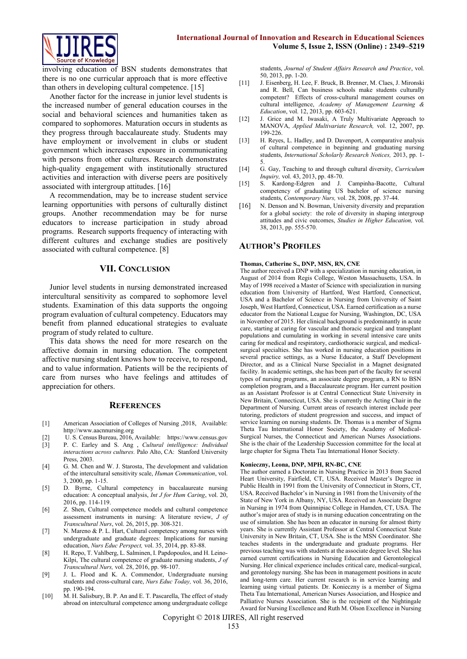

involving education of BSN students demonstrates that there is no one curricular approach that is more effective than others in developing cultural competence. [15]

Another factor for the increase in junior level students is the increased number of general education courses in the social and behavioral sciences and humanities taken as compared to sophomores. Maturation occurs in students as they progress through baccalaureate study. Students may have employment or involvement in clubs or student government which increases exposure in communicating with persons from other cultures. Research demonstrates high-quality engagement with institutionally structured activities and interaction with diverse peers are positively associated with intergroup attitudes. [16]

A recommendation, may be to increase student service learning opportunities with persons of culturally distinct groups. Another recommendation may be for nurse educators to increase participation in study abroad programs. Research supports frequency of interacting with different cultures and exchange studies are positively associated with cultural competence. [8]

### **VII. CONCLUSION**

Junior level students in nursing demonstrated increased intercultural sensitivity as compared to sophomore level students. Examination of this data supports the ongoing program evaluation of cultural competency. Educators may benefit from planned educational strategies to evaluate program of study related to culture.

This data shows the need for more research on the affective domain in nursing education. The competent affective nursing student knows how to receive, to respond, and to value information. Patients will be the recipients of care from nurses who have feelings and attitudes of appreciation for others.

#### **REFERENCES**

- [1] American Association of Colleges of Nursing ,2018, Available: http://www.aacnnursing.org
- [2] U. S. Census Bureau, 2016, Available: https://www.census.gov
- [3] P. C. Earley and S. Ang , *Cultural intelligence: Individual interactions across cultures.* Palo Alto, CA: Stanford University Press, 2003.
- [4] G. M. Chen and W. J. Starosta, The development and validation of the intercultural sensitivity scale, *Human Communication*, vol. 3, 2000, pp. 1-15.
- [5] D. Byrne, Cultural competency in baccalaureate nursing education: A conceptual analysis, *Int J for Hum Caring*, vol. 20, 2016, pp. 114-119.
- [6] Z. Shen, Cultural competence models and cultural competence assessment instruments in nursing: A literature review, *J of Transcultural Nurs*, vol. 26, 2015, pp. 308-321.
- [7] N. Mareno & P. L. Hart, Cultural competency among nurses with undergraduate and graduate degrees: Implications for nursing education, *Nurs Educ Perspect,* vol. 35, 2014, pp. 83-88.
- [8] H. Repo, T. Vahlberg, L. Salminen, I. Papdopoulos, and H. Leino-Kilpi, The cultural competence of graduate nursing students, *J of Transcultural Nurs,* vol. 28, 2016, pp. 98-107.
- [9] J. L. Flood and K. A. Commendor, Undergraduate nursing students and cross-cultural care, *Nurs Educ Today,* vol. 36, 2016, pp. 190-194.
- [10] M. H. Salisbury, B. P. An and E. T. Pascarella, The effect of study abroad on intercultural competence among undergraduate college

students, *Journal of Student Affairs Research and Practice*, vol. 50, 2013, pp. 1-20.

- [11] J. Eisenberg, H. Lee, F. Bruck, B. Brenner, M. Claes, J. Mironski and R. Bell, Can business schools make students culturally competent? Effects of cross-cultural management courses on cultural intelligence, *Academy of Management Learning & Education*, vol. 12, 2013, pp. 603-621.
- [12] J. Grice and M. Iwasaki, A Truly Multivariate Approach to MANOVA, *Applied Multivariate Research,* vol. 12, 2007, pp. 199-226.
- [13] H. Reyes, L. Hadley, and D. Davenport, A comparative analysis of cultural competence in beginning and graduating nursing students, *International Scholarly Research Notices,* 2013, pp. 1- 5.
- [14] G. Gay, Teaching to and through cultural diversity, *Curriculum Inquiry,* vol. 43, 2013, pp. 48-70.
- [15] S. Kardong-Edgren and J. Campinha-Bacotte, Cultural competency of graduating US bachelor of science nursing students, *Contemporary Nurs,* vol. 28, 2008, pp. 37-44.
- [16] N. Denson and N. Bowman, University diversity and preparation for a global society: the role of diversity in shaping intergroup attitudes and civic outcomes, *Studies in Higher Education,* vol. 38, 2013, pp. 555-570.

### **AUTHOR'S PROFILES**

#### **Thomas, Catherine S., DNP, MSN, RN, CNE**

The author received a DNP with a specialization in nursing education, in August of 2014 from Regis College, Weston Massachusetts, USA. In May of 1998 received a Master of Science with specialization in nursing education from University of Hartford, West Hartford, Connecticut, USA and a Bachelor of Science in Nursing from University of Saint Joseph, West Hartford, Connecticut, USA. Earned certification as a nurse educator from the National League for Nursing, Washington, DC, USA in November of 2015. Her clinical background is predominantly in acute care, starting at caring for vascular and thoracic surgical and transplant populations and cumulating in working in several intensive care units caring for medical and respiratory, cardiothoracic surgical, and medicalsurgical specialties. She has worked in nursing education positions in several practice settings, as a Nurse Educator, a Staff Development Director, and as a Clinical Nurse Specialist in a Magnet designated facility. In academic settings, she has been part of the faculty for several types of nursing programs, an associate degree program, a RN to BSN completion program, and a Baccalaureate program. Her current position as an Assistant Professor is at Central Connecticut State University in New Britain, Connecticut, USA. She is currently the Acting Chair in the Department of Nursing. Current areas of research interest include peer tutoring, predictors of student progression and success, and impact of service learning on nursing students. Dr. Thomas is a member of Sigma Theta Tau International Honor Society, the Academy of Medical-Surgical Nurses, the Connecticut and American Nurses Associations. She is the chair of the Leadership Succession committee for the local at large chapter for Sigma Theta Tau International Honor Society.

#### **Konieczny, Leona, DNP, MPH, RN-BC, CNE**

The author earned a Doctorate in Nursing Practice in 2013 from Sacred Heart University, Fairfield, CT, USA. Received Master's Degree in Public Health in 1991 from the University of Connecticut in Storrs, CT USA. Received Bachelor's in Nursing in 1981 from the University of the State of New York in Albany, NY, USA. Received an Associate Degree in Nursing in 1974 from Quinnipiac College in Hamden, CT, USA. The author's major area of study is in nursing education concentrating on the use of simulation. She has been an educator in nursing for almost thirty years. She is currently Assistant Professor at Central Connecticut State University in New Britain, CT, USA. She is the MSN Coordinator. She teaches students in the undergraduate and graduate programs. Her previous teaching was with students at the associate degree level. She has earned current certifications in Nursing Education and Gerontological Nursing. Her clinical experience includes critical care, medical-surgical, and gerontology nursing. She has been in management positions in acute and long-term care. Her current research is in service learning and learning using virtual patients. Dr. Konieczny is a member of Sigma Theta Tau International, American Nurses Association, and Hospice and Palliative Nurses Association. She is the recipient of the Nightingale Award for Nursing Excellence and Ruth M. Olson Excellence in Nursing

Copyright © 2018 IJIRES, All right reserved